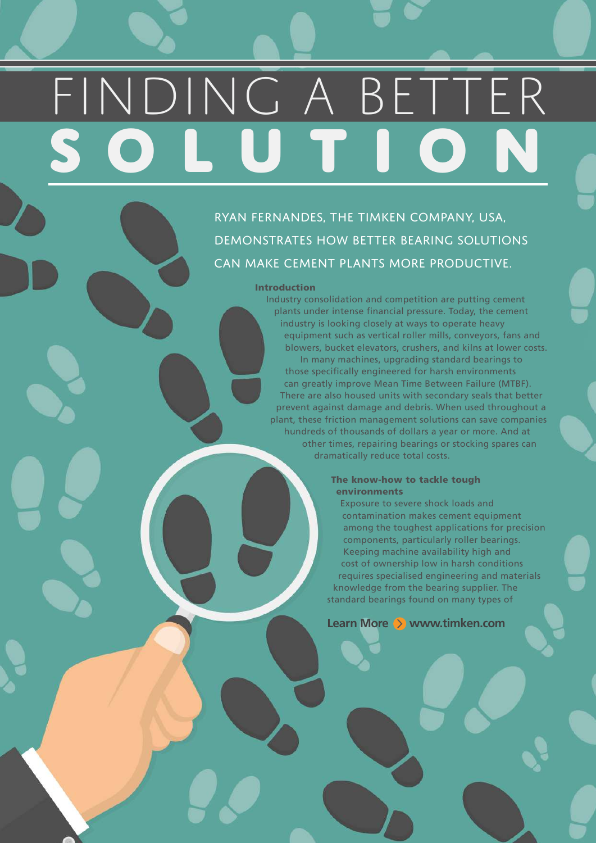# FINDING A BETTER **SOLUTION**

RYAN FERNANDES, THE TIMKEN COMPANY, USA, DEMONSTRATES HOW BETTER BEARING SOLUTIONS CAN MAKE CEMENT PLANTS MORE PRODUCTIVE.

#### Introduction

Industry consolidation and competition are putting cement plants under intense financial pressure. Today, the cement industry is looking closely at ways to operate heavy equipment such as vertical roller mills, conveyors, fans and blowers, bucket elevators, crushers, and kilns at lower costs. In many machines, upgrading standard bearings to those specifically engineered for harsh environments can greatly improve Mean Time Between Failure (MTBF). There are also housed units with secondary seals that better prevent against damage and debris. When used throughout a plant, these friction management solutions can save companies hundreds of thousands of dollars a year or more. And at other times, repairing bearings or stocking spares can dramatically reduce total costs.

# The know-how to tackle tough environments

Exposure to severe shock loads and contamination makes cement equipment among the toughest applications for precision components, particularly roller bearings. Keeping machine availability high and cost of ownership low in harsh conditions requires specialised engineering and materials knowledge from the bearing supplier. The standard bearings found on many types of

**Learn More > www.timken.com**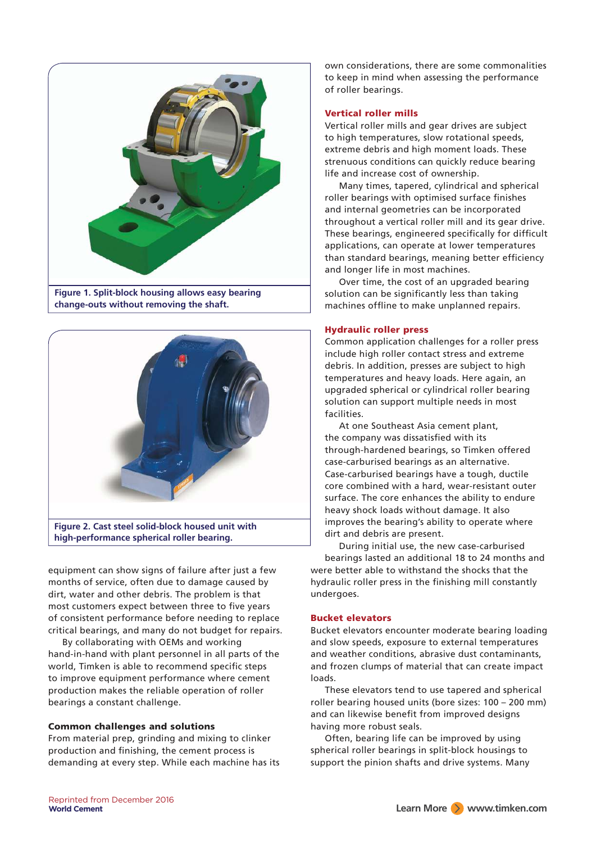

**change-outs without removing the shaft.** 



**high-performance spherical roller bearing.**

equipment can show signs of failure after just a few months of service, often due to damage caused by dirt, water and other debris. The problem is that most customers expect between three to five years of consistent performance before needing to replace critical bearings, and many do not budget for repairs.

By collaborating with OEMs and working hand-in-hand with plant personnel in all parts of the world, Timken is able to recommend specific steps to improve equipment performance where cement production makes the reliable operation of roller bearings a constant challenge.

# Common challenges and solutions

From material prep, grinding and mixing to clinker production and finishing, the cement process is demanding at every step. While each machine has its

own considerations, there are some commonalities to keep in mind when assessing the performance of roller bearings.

# Vertical roller mills

Vertical roller mills and gear drives are subject to high temperatures, slow rotational speeds, extreme debris and high moment loads. These strenuous conditions can quickly reduce bearing life and increase cost of ownership.

Many times, tapered, cylindrical and spherical roller bearings with optimised surface finishes and internal geometries can be incorporated throughout a vertical roller mill and its gear drive. These bearings, engineered specifically for difficult applications, can operate at lower temperatures than standard bearings, meaning better efficiency and longer life in most machines.

Over time, the cost of an upgraded bearing solution can be significantly less than taking machines offline to make unplanned repairs.

# Hydraulic roller press

Common application challenges for a roller press include high roller contact stress and extreme debris. In addition, presses are subject to high temperatures and heavy loads. Here again, an upgraded spherical or cylindrical roller bearing solution can support multiple needs in most facilities.

At one Southeast Asia cement plant, the company was dissatisfied with its through-hardened bearings, so Timken offered case-carburised bearings as an alternative. Case-carburised bearings have a tough, ductile core combined with a hard, wear-resistant outer surface. The core enhances the ability to endure heavy shock loads without damage. It also improves the bearing's ability to operate where dirt and debris are present.

During initial use, the new case-carburised bearings lasted an additional 18 to 24 months and were better able to withstand the shocks that the hydraulic roller press in the finishing mill constantly undergoes.

# Bucket elevators

Bucket elevators encounter moderate bearing loading and slow speeds, exposure to external temperatures and weather conditions, abrasive dust contaminants, and frozen clumps of material that can create impact loads.

These elevators tend to use tapered and spherical roller bearing housed units (bore sizes: 100 – 200 mm) and can likewise benefit from improved designs having more robust seals.

Often, bearing life can be improved by using spherical roller bearings in split-block housings to support the pinion shafts and drive systems. Many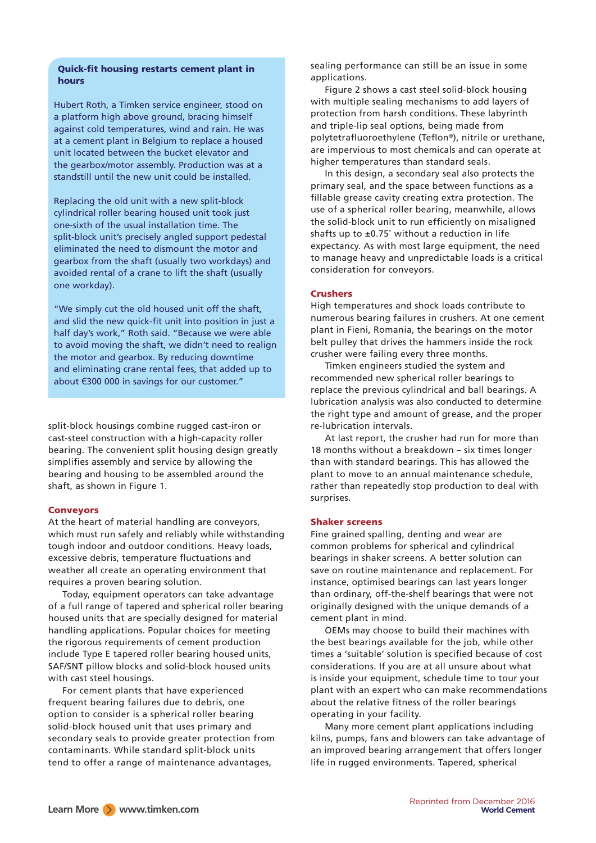# Quick-fit housing restarts cement plant in hours

Hubert Roth, a Timken service engineer, stood on a platform high above ground, bracing himself against cold temperatures, wind and rain. He was at a cement plant in Belgium to replace a housed unit located between the bucket elevator and the gearbox/motor assembly. Production was at a standstill until the new unit could be installed.

Replacing the old unit with a new split-block cylindrical roller bearing housed unit took just one-sixth of the usual installation time. The split-block unit's precisely angled support pedestal eliminated the need to dismount the motor and gearbox from the shaft (usually two workdays) and avoided rental of a crane to lift the shaft (usually one workday).

"We simply cut the old housed unit off the shaft, and slid the new quick-fit unit into position in just a half day's work," Roth said. "Because we were able to avoid moving the shaft, we didn't need to realign the motor and gearbox. By reducing downtime and eliminating crane rental fees, that added up to about €300 000 in savings for our customer."

split-block housings combine rugged cast-iron or cast-steel construction with a high-capacity roller bearing. The convenient split housing design greatly simplifies assembly and service by allowing the bearing and housing to be assembled around the shaft, as shown in Figure 1.

#### Conveyors

At the heart of material handling are conveyors, which must run safely and reliably while withstanding tough indoor and outdoor conditions. Heavy loads, excessive debris, temperature fluctuations and weather all create an operating environment that requires a proven bearing solution.

Today, equipment operators can take advantage of a full range of tapered and spherical roller bearing housed units that are specially designed for material handling applications. Popular choices for meeting the rigorous requirements of cement production include Type E tapered roller bearing housed units, SAF/SNT pillow blocks and solid-block housed units with cast steel housings.

For cement plants that have experienced frequent bearing failures due to debris, one option to consider is a spherical roller bearing solid-block housed unit that uses primary and secondary seals to provide greater protection from contaminants. While standard split-block units tend to offer a range of maintenance advantages,

sealing performance can still be an issue in some applications.

Figure 2 shows a cast steel solid-block housing with multiple sealing mechanisms to add layers of protection from harsh conditions. These labyrinth and triple-lip seal options, being made from polytetrafluoroethylene (Teflon®), nitrile or urethane, are impervious to most chemicals and can operate at higher temperatures than standard seals.

In this design, a secondary seal also protects the primary seal, and the space between functions as a fillable grease cavity creating extra protection. The use of a spherical roller bearing, meanwhile, allows the solid-block unit to run efficiently on misaligned shafts up to  $\pm 0.75^\circ$  without a reduction in life expectancy. As with most large equipment, the need to manage heavy and unpredictable loads is a critical consideration for conveyors.

#### Crushers

High temperatures and shock loads contribute to numerous bearing failures in crushers. At one cement plant in Fieni, Romania, the bearings on the motor belt pulley that drives the hammers inside the rock crusher were failing every three months.

Timken engineers studied the system and recommended new spherical roller bearings to replace the previous cylindrical and ball bearings. A lubrication analysis was also conducted to determine the right type and amount of grease, and the proper re-lubrication intervals.

At last report, the crusher had run for more than 18 months without a breakdown – six times longer than with standard bearings. This has allowed the plant to move to an annual maintenance schedule, rather than repeatedly stop production to deal with surprises.

#### Shaker screens

Fine grained spalling, denting and wear are common problems for spherical and cylindrical bearings in shaker screens. A better solution can save on routine maintenance and replacement. For instance, optimised bearings can last years longer than ordinary, off-the-shelf bearings that were not originally designed with the unique demands of a cement plant in mind.

OEMs may choose to build their machines with the best bearings available for the job, while other times a 'suitable' solution is specified because of cost considerations. If you are at all unsure about what is inside your equipment, schedule time to tour your plant with an expert who can make recommendations about the relative fitness of the roller bearings operating in your facility.

Many more cement plant applications including kilns, pumps, fans and blowers can take advantage of an improved bearing arrangement that offers longer life in rugged environments. Tapered, spherical